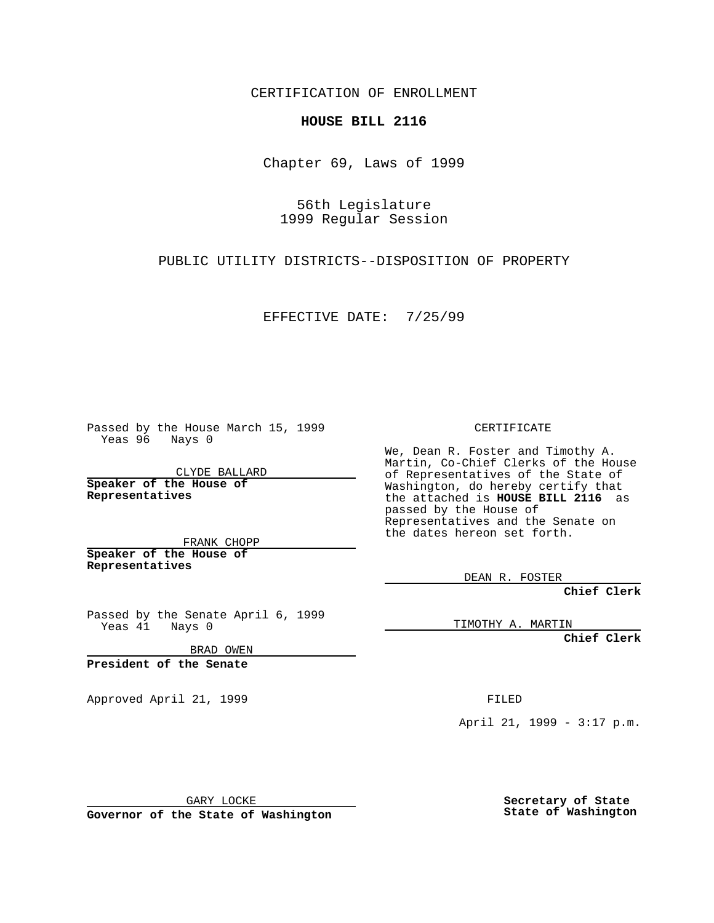CERTIFICATION OF ENROLLMENT

## **HOUSE BILL 2116**

Chapter 69, Laws of 1999

56th Legislature 1999 Regular Session

PUBLIC UTILITY DISTRICTS--DISPOSITION OF PROPERTY

EFFECTIVE DATE: 7/25/99

Passed by the House March 15, 1999 Yeas 96 Nays 0

CLYDE BALLARD **Speaker of the House of Representatives**

FRANK CHOPP **Speaker of the House of Representatives**

Passed by the Senate April 6, 1999 Yeas 41 Nays 0

BRAD OWEN

**President of the Senate**

Approved April 21, 1999 FILED

CERTIFICATE

We, Dean R. Foster and Timothy A. Martin, Co-Chief Clerks of the House of Representatives of the State of Washington, do hereby certify that the attached is **HOUSE BILL 2116** as passed by the House of Representatives and the Senate on the dates hereon set forth.

DEAN R. FOSTER

**Chief Clerk**

TIMOTHY A. MARTIN

**Chief Clerk**

April 21, 1999 - 3:17 p.m.

GARY LOCKE

**Governor of the State of Washington**

**Secretary of State State of Washington**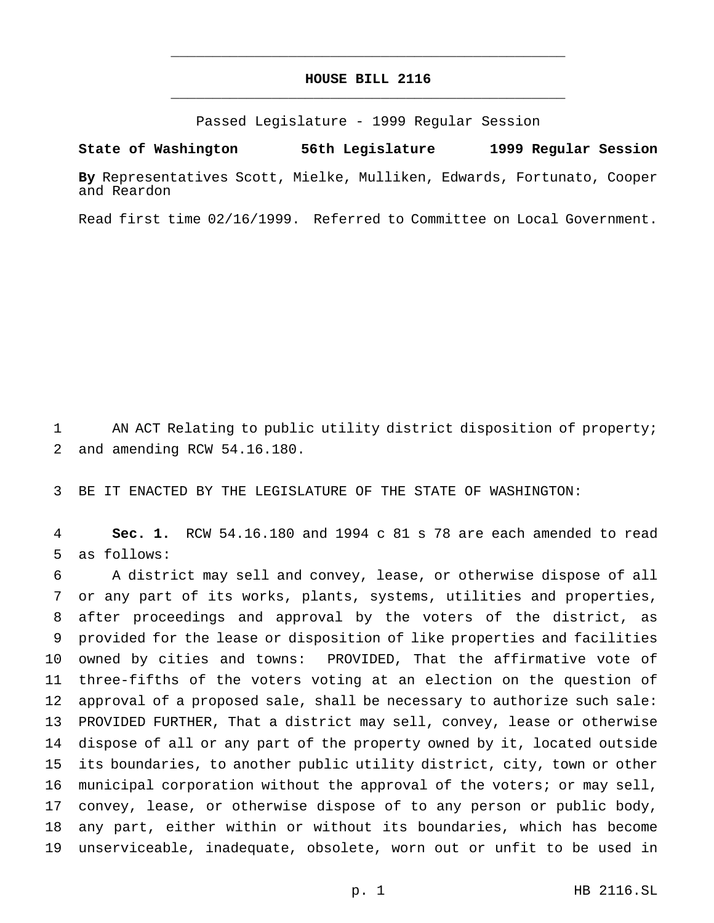## **HOUSE BILL 2116** \_\_\_\_\_\_\_\_\_\_\_\_\_\_\_\_\_\_\_\_\_\_\_\_\_\_\_\_\_\_\_\_\_\_\_\_\_\_\_\_\_\_\_\_\_\_\_

\_\_\_\_\_\_\_\_\_\_\_\_\_\_\_\_\_\_\_\_\_\_\_\_\_\_\_\_\_\_\_\_\_\_\_\_\_\_\_\_\_\_\_\_\_\_\_

Passed Legislature - 1999 Regular Session

**State of Washington 56th Legislature 1999 Regular Session**

**By** Representatives Scott, Mielke, Mulliken, Edwards, Fortunato, Cooper and Reardon

Read first time 02/16/1999. Referred to Committee on Local Government.

1 AN ACT Relating to public utility district disposition of property; and amending RCW 54.16.180.

BE IT ENACTED BY THE LEGISLATURE OF THE STATE OF WASHINGTON:

 **Sec. 1.** RCW 54.16.180 and 1994 c 81 s 78 are each amended to read as follows:

 A district may sell and convey, lease, or otherwise dispose of all or any part of its works, plants, systems, utilities and properties, after proceedings and approval by the voters of the district, as provided for the lease or disposition of like properties and facilities owned by cities and towns: PROVIDED, That the affirmative vote of three-fifths of the voters voting at an election on the question of approval of a proposed sale, shall be necessary to authorize such sale: PROVIDED FURTHER, That a district may sell, convey, lease or otherwise dispose of all or any part of the property owned by it, located outside its boundaries, to another public utility district, city, town or other municipal corporation without the approval of the voters; or may sell, convey, lease, or otherwise dispose of to any person or public body, any part, either within or without its boundaries, which has become unserviceable, inadequate, obsolete, worn out or unfit to be used in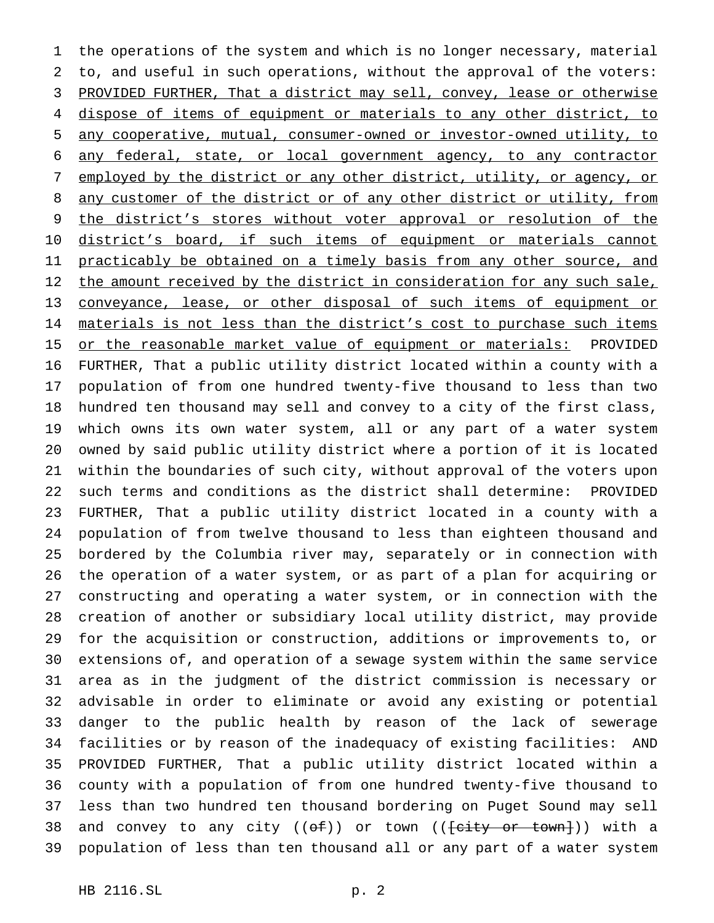the operations of the system and which is no longer necessary, material to, and useful in such operations, without the approval of the voters: PROVIDED FURTHER, That a district may sell, convey, lease or otherwise dispose of items of equipment or materials to any other district, to any cooperative, mutual, consumer-owned or investor-owned utility, to any federal, state, or local government agency, to any contractor employed by the district or any other district, utility, or agency, or 8 any customer of the district or of any other district or utility, from 9 the district's stores without voter approval or resolution of the 10 district's board, if such items of equipment or materials cannot 11 practicably be obtained on a timely basis from any other source, and 12 the amount received by the district in consideration for any such sale, conveyance, lease, or other disposal of such items of equipment or 14 materials is not less than the district's cost to purchase such items 15 or the reasonable market value of equipment or materials: PROVIDED FURTHER, That a public utility district located within a county with a population of from one hundred twenty-five thousand to less than two hundred ten thousand may sell and convey to a city of the first class, which owns its own water system, all or any part of a water system owned by said public utility district where a portion of it is located within the boundaries of such city, without approval of the voters upon such terms and conditions as the district shall determine: PROVIDED FURTHER, That a public utility district located in a county with a population of from twelve thousand to less than eighteen thousand and bordered by the Columbia river may, separately or in connection with the operation of a water system, or as part of a plan for acquiring or constructing and operating a water system, or in connection with the creation of another or subsidiary local utility district, may provide for the acquisition or construction, additions or improvements to, or extensions of, and operation of a sewage system within the same service area as in the judgment of the district commission is necessary or advisable in order to eliminate or avoid any existing or potential danger to the public health by reason of the lack of sewerage facilities or by reason of the inadequacy of existing facilities: AND PROVIDED FURTHER, That a public utility district located within a county with a population of from one hundred twenty-five thousand to less than two hundred ten thousand bordering on Puget Sound may sell 38 and convey to any city  $((\theta \pm))$  or town  $((\theta \pm) \pm \theta \pm \theta \pm \theta \pm \theta))$  with a population of less than ten thousand all or any part of a water system